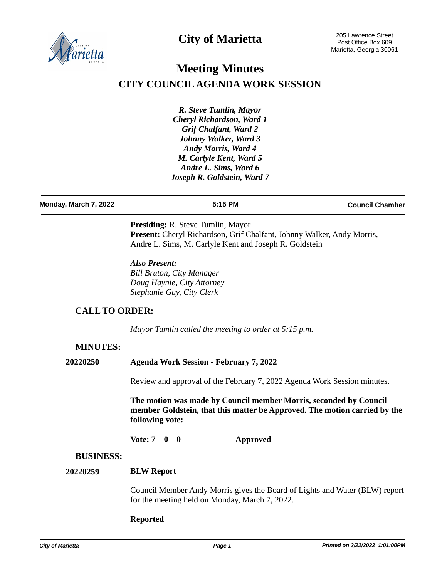

# **City of Marietta**

# **Meeting Minutes CITY COUNCIL AGENDA WORK SESSION**

*R. Steve Tumlin, Mayor Cheryl Richardson, Ward 1 Grif Chalfant, Ward 2 Johnny Walker, Ward 3 Andy Morris, Ward 4 M. Carlyle Kent, Ward 5 Andre L. Sims, Ward 6 Joseph R. Goldstein, Ward 7*

**Monday, March 7, 2022 5:15 PM Council Chamber**

**Presiding:** R. Steve Tumlin, Mayor Present: Cheryl Richardson, Grif Chalfant, Johnny Walker, Andy Morris, Andre L. Sims, M. Carlyle Kent and Joseph R. Goldstein

*Also Present: Bill Bruton, City Manager Doug Haynie, City Attorney Stephanie Guy, City Clerk*

# **CALL TO ORDER:**

*Mayor Tumlin called the meeting to order at 5:15 p.m.*

# **MINUTES:**

**20220250 Agenda Work Session - February 7, 2022**

Review and approval of the February 7, 2022 Agenda Work Session minutes.

**The motion was made by Council member Morris, seconded by Council member Goldstein, that this matter be Approved. The motion carried by the following vote:**

**Vote: 7 – 0 – 0 Approved**

### **BUSINESS:**

#### **BLW Report 20220259**

Council Member Andy Morris gives the Board of Lights and Water (BLW) report for the meeting held on Monday, March 7, 2022.

### **Reported**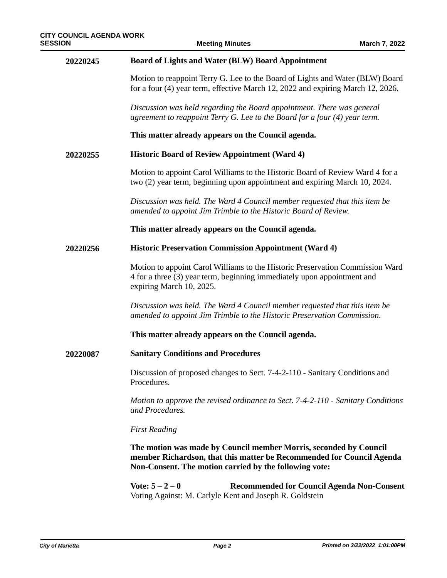| 20220245 | <b>Board of Lights and Water (BLW) Board Appointment</b>                                                                                                                                             |  |  |
|----------|------------------------------------------------------------------------------------------------------------------------------------------------------------------------------------------------------|--|--|
|          | Motion to reappoint Terry G. Lee to the Board of Lights and Water (BLW) Board<br>for a four (4) year term, effective March 12, 2022 and expiring March 12, 2026.                                     |  |  |
|          | Discussion was held regarding the Board appointment. There was general<br>agreement to reappoint Terry G. Lee to the Board for a four (4) year term.                                                 |  |  |
|          | This matter already appears on the Council agenda.                                                                                                                                                   |  |  |
| 20220255 | <b>Historic Board of Review Appointment (Ward 4)</b>                                                                                                                                                 |  |  |
|          | Motion to appoint Carol Williams to the Historic Board of Review Ward 4 for a<br>two (2) year term, beginning upon appointment and expiring March 10, 2024.                                          |  |  |
|          | Discussion was held. The Ward 4 Council member requested that this item be<br>amended to appoint Jim Trimble to the Historic Board of Review.                                                        |  |  |
|          | This matter already appears on the Council agenda.                                                                                                                                                   |  |  |
| 20220256 | <b>Historic Preservation Commission Appointment (Ward 4)</b>                                                                                                                                         |  |  |
|          | Motion to appoint Carol Williams to the Historic Preservation Commission Ward<br>4 for a three (3) year term, beginning immediately upon appointment and<br>expiring March 10, 2025.                 |  |  |
|          | Discussion was held. The Ward 4 Council member requested that this item be<br>amended to appoint Jim Trimble to the Historic Preservation Commission.                                                |  |  |
|          | This matter already appears on the Council agenda.                                                                                                                                                   |  |  |
| 20220087 | <b>Sanitary Conditions and Procedures</b>                                                                                                                                                            |  |  |
|          | Discussion of proposed changes to Sect. 7-4-2-110 - Sanitary Conditions and<br>Procedures.                                                                                                           |  |  |
|          | Motion to approve the revised ordinance to Sect. 7-4-2-110 - Sanitary Conditions<br>and Procedures.                                                                                                  |  |  |
|          | <b>First Reading</b>                                                                                                                                                                                 |  |  |
|          | The motion was made by Council member Morris, seconded by Council<br>member Richardson, that this matter be Recommended for Council Agenda<br>Non-Consent. The motion carried by the following vote: |  |  |
|          | Vote: $5 - 2 - 0$<br><b>Recommended for Council Agenda Non-Consent</b><br>Voting Against: M. Carlyle Kent and Joseph R. Goldstein                                                                    |  |  |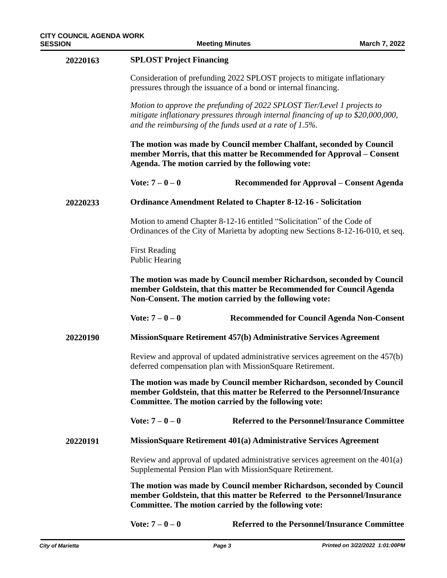| 20220163 | <b>SPLOST Project Financing</b>                                                                                                                                                                            |                                                                                                                                                               |  |
|----------|------------------------------------------------------------------------------------------------------------------------------------------------------------------------------------------------------------|---------------------------------------------------------------------------------------------------------------------------------------------------------------|--|
|          | Consideration of prefunding 2022 SPLOST projects to mitigate inflationary<br>pressures through the issuance of a bond or internal financing.                                                               |                                                                                                                                                               |  |
|          | and the reimbursing of the funds used at a rate of $1.5\%$ .                                                                                                                                               | Motion to approve the prefunding of 2022 SPLOST Tier/Level 1 projects to<br>mitigate inflationary pressures through internal financing of up to \$20,000,000, |  |
|          | Agenda. The motion carried by the following vote:                                                                                                                                                          | The motion was made by Council member Chalfant, seconded by Council<br>member Morris, that this matter be Recommended for Approval – Consent                  |  |
|          | Vote: $7 - 0 - 0$                                                                                                                                                                                          | Recommended for Approval – Consent Agenda                                                                                                                     |  |
| 20220233 | <b>Ordinance Amendment Related to Chapter 8-12-16 - Solicitation</b>                                                                                                                                       |                                                                                                                                                               |  |
|          |                                                                                                                                                                                                            | Motion to amend Chapter 8-12-16 entitled "Solicitation" of the Code of<br>Ordinances of the City of Marietta by adopting new Sections 8-12-16-010, et seq.    |  |
|          | <b>First Reading</b><br><b>Public Hearing</b>                                                                                                                                                              |                                                                                                                                                               |  |
|          | Non-Consent. The motion carried by the following vote:                                                                                                                                                     | The motion was made by Council member Richardson, seconded by Council<br>member Goldstein, that this matter be Recommended for Council Agenda                 |  |
|          | Vote: $7 - 0 - 0$                                                                                                                                                                                          | <b>Recommended for Council Agenda Non-Consent</b>                                                                                                             |  |
| 20220190 | MissionSquare Retirement 457(b) Administrative Services Agreement                                                                                                                                          |                                                                                                                                                               |  |
|          | Review and approval of updated administrative services agreement on the 457(b)<br>deferred compensation plan with MissionSquare Retirement.                                                                |                                                                                                                                                               |  |
|          | The motion was made by Council member Richardson, seconded by Council<br>member Goldstein, that this matter be Referred to the Personnel/Insurance<br>Committee. The motion carried by the following vote: |                                                                                                                                                               |  |
|          | Vote: $7 - 0 - 0$                                                                                                                                                                                          | <b>Referred to the Personnel/Insurance Committee</b>                                                                                                          |  |
| 20220191 |                                                                                                                                                                                                            | MissionSquare Retirement 401(a) Administrative Services Agreement                                                                                             |  |
|          | Supplemental Pension Plan with MissionSquare Retirement.                                                                                                                                                   | Review and approval of updated administrative services agreement on the $401(a)$                                                                              |  |
|          | The motion was made by Council member Richardson, seconded by Council<br>member Goldstein, that this matter be Referred to the Personnel/Insurance<br>Committee. The motion carried by the following vote: |                                                                                                                                                               |  |
|          | Vote: $7 - 0 - 0$                                                                                                                                                                                          | <b>Referred to the Personnel/Insurance Committee</b>                                                                                                          |  |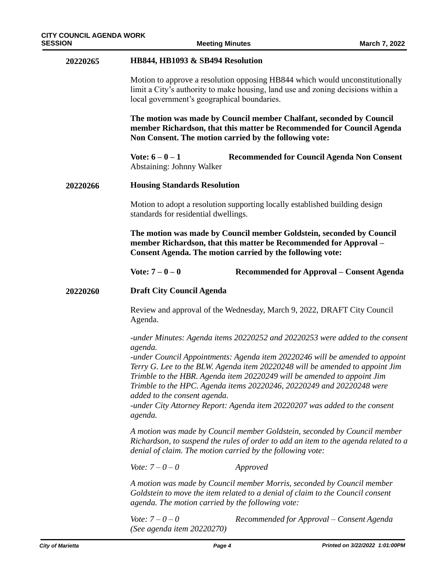| 20220265 | HB844, HB1093 & SB494 Resolution                                                                                                                                                                                                                                                                                                                                                                                                                                                                                                     |  |  |
|----------|--------------------------------------------------------------------------------------------------------------------------------------------------------------------------------------------------------------------------------------------------------------------------------------------------------------------------------------------------------------------------------------------------------------------------------------------------------------------------------------------------------------------------------------|--|--|
|          | Motion to approve a resolution opposing HB844 which would unconstitutionally<br>limit a City's authority to make housing, land use and zoning decisions within a<br>local government's geographical boundaries.                                                                                                                                                                                                                                                                                                                      |  |  |
|          | The motion was made by Council member Chalfant, seconded by Council<br>member Richardson, that this matter be Recommended for Council Agenda<br>Non Consent. The motion carried by the following vote:                                                                                                                                                                                                                                                                                                                               |  |  |
|          | Vote: $6 - 0 - 1$<br><b>Recommended for Council Agenda Non Consent</b><br>Abstaining: Johnny Walker                                                                                                                                                                                                                                                                                                                                                                                                                                  |  |  |
| 20220266 | <b>Housing Standards Resolution</b>                                                                                                                                                                                                                                                                                                                                                                                                                                                                                                  |  |  |
|          | Motion to adopt a resolution supporting locally established building design<br>standards for residential dwellings.                                                                                                                                                                                                                                                                                                                                                                                                                  |  |  |
|          | The motion was made by Council member Goldstein, seconded by Council<br>member Richardson, that this matter be Recommended for Approval -<br>Consent Agenda. The motion carried by the following vote:                                                                                                                                                                                                                                                                                                                               |  |  |
|          | Vote: $7 - 0 - 0$<br>Recommended for Approval - Consent Agenda                                                                                                                                                                                                                                                                                                                                                                                                                                                                       |  |  |
| 20220260 | <b>Draft City Council Agenda</b>                                                                                                                                                                                                                                                                                                                                                                                                                                                                                                     |  |  |
|          | Review and approval of the Wednesday, March 9, 2022, DRAFT City Council<br>Agenda.                                                                                                                                                                                                                                                                                                                                                                                                                                                   |  |  |
|          | -under Minutes: Agenda items 20220252 and 20220253 were added to the consent<br>agenda.<br>-under Council Appointments: Agenda item 20220246 will be amended to appoint<br>Terry G. Lee to the BLW. Agenda item 20220248 will be amended to appoint Jim<br>Trimble to the HBR. Agenda item 20220249 will be amended to appoint Jim<br>Trimble to the HPC. Agenda items 20220246, 20220249 and 20220248 were<br>added to the consent agenda.<br>-under City Attorney Report: Agenda item 20220207 was added to the consent<br>agenda. |  |  |
|          | A motion was made by Council member Goldstein, seconded by Council member<br>Richardson, to suspend the rules of order to add an item to the agenda related to a<br>denial of claim. The motion carried by the following vote:                                                                                                                                                                                                                                                                                                       |  |  |
|          | <i>Vote:</i> $7 - 0 - 0$<br>Approved                                                                                                                                                                                                                                                                                                                                                                                                                                                                                                 |  |  |
|          | A motion was made by Council member Morris, seconded by Council member<br>Goldstein to move the item related to a denial of claim to the Council consent<br>agenda. The motion carried by the following vote:                                                                                                                                                                                                                                                                                                                        |  |  |
|          | <i>Vote:</i> $7 - 0 - 0$<br>Recommended for Approval – Consent Agenda<br>(See agenda item 20220270)                                                                                                                                                                                                                                                                                                                                                                                                                                  |  |  |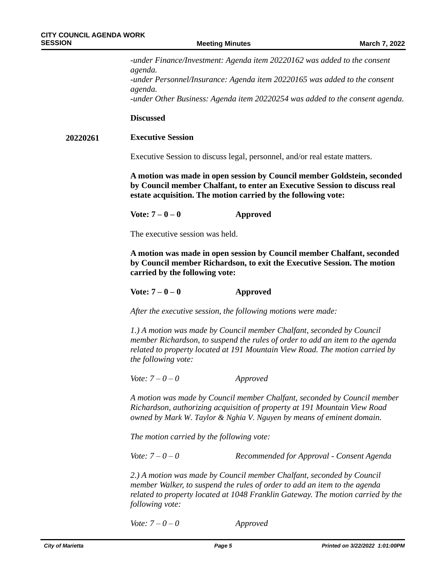*-under Finance/Investment: Agenda item 20220162 was added to the consent agenda. -under Personnel/Insurance: Agenda item 20220165 was added to the consent agenda. -under Other Business: Agenda item 20220254 was added to the consent agenda.*

### **Discussed**

#### **Executive Session 20220261**

Executive Session to discuss legal, personnel, and/or real estate matters.

**A motion was made in open session by Council member Goldstein, seconded by Council member Chalfant, to enter an Executive Session to discuss real estate acquisition. The motion carried by the following vote:**

**Vote: 7 – 0 – 0 Approved**

The executive session was held.

**A motion was made in open session by Council member Chalfant, seconded by Council member Richardson, to exit the Executive Session. The motion carried by the following vote:** 

**Vote: 7 – 0 – 0 Approved**

*After the executive session, the following motions were made:*

*1.) A motion was made by Council member Chalfant, seconded by Council member Richardson, to suspend the rules of order to add an item to the agenda related to property located at 191 Mountain View Road. The motion carried by the following vote:*

*Vote: 7 – 0 – 0 Approved*

*A motion was made by Council member Chalfant, seconded by Council member Richardson, authorizing acquisition of property at 191 Mountain View Road owned by Mark W. Taylor & Nghia V. Nguyen by means of eminent domain.* 

*The motion carried by the following vote:*

*Vote: 7 – 0 – 0 Recommended for Approval - Consent Agenda*

*2.) A motion was made by Council member Chalfant, seconded by Council member Walker, to suspend the rules of order to add an item to the agenda related to property located at 1048 Franklin Gateway. The motion carried by the following vote:*

*Vote: 7 – 0 – 0 Approved*